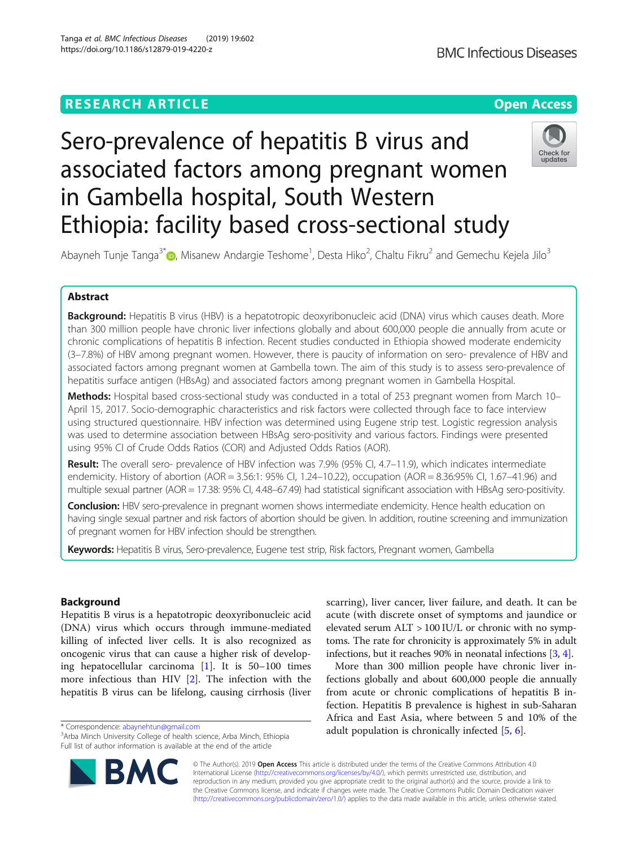# **RESEARCH ARTICLE Example 2014 12:30 The Contract of Contract ACCESS** Sero-prevalence of hepatitis B virus and

Abayneh Tunje Tanga<sup>3[\\*](http://orcid.org/0000-0002-0957-0216)</sup>®, Misanew Andargie Teshome<sup>1</sup>, Desta Hiko<sup>2</sup>, Chaltu Fikru<sup>2</sup> and Gemechu Kejela Jilo<sup>3</sup>

associated factors among pregnant women

Ethiopia: facility based cross-sectional study

in Gambella hospital, South Western

# Abstract

Background: Hepatitis B virus (HBV) is a hepatotropic deoxyribonucleic acid (DNA) virus which causes death. More than 300 million people have chronic liver infections globally and about 600,000 people die annually from acute or chronic complications of hepatitis B infection. Recent studies conducted in Ethiopia showed moderate endemicity (3–7.8%) of HBV among pregnant women. However, there is paucity of information on sero- prevalence of HBV and associated factors among pregnant women at Gambella town. The aim of this study is to assess sero-prevalence of hepatitis surface antigen (HBsAg) and associated factors among pregnant women in Gambella Hospital.

Methods: Hospital based cross-sectional study was conducted in a total of 253 pregnant women from March 10-April 15, 2017. Socio-demographic characteristics and risk factors were collected through face to face interview using structured questionnaire. HBV infection was determined using Eugene strip test. Logistic regression analysis was used to determine association between HBsAg sero-positivity and various factors. Findings were presented using 95% CI of Crude Odds Ratios (COR) and Adjusted Odds Ratios (AOR).

Result: The overall sero- prevalence of HBV infection was 7.9% (95% CI, 4.7–11.9), which indicates intermediate endemicity. History of abortion (AOR = 3.56:1: 95% CI, 1.24–10.22), occupation (AOR = 8.36:95% CI, 1.67–41.96) and multiple sexual partner (AOR = 17.38: 95% CI, 4.48–67.49) had statistical significant association with HBsAg sero-positivity.

Conclusion: HBV sero-prevalence in pregnant women shows intermediate endemicity. Hence health education on having single sexual partner and risk factors of abortion should be given. In addition, routine screening and immunization of pregnant women for HBV infection should be strengthen.

Keywords: Hepatitis B virus, Sero-prevalence, Eugene test strip, Risk factors, Pregnant women, Gambella

# Background

Hepatitis B virus is a hepatotropic deoxyribonucleic acid (DNA) virus which occurs through immune-mediated killing of infected liver cells. It is also recognized as oncogenic virus that can cause a higher risk of developing hepatocellular carcinoma [[1\]](#page-6-0). It is 50–100 times more infectious than HIV [\[2\]](#page-6-0). The infection with the hepatitis B virus can be lifelong, causing cirrhosis (liver

\* Correspondence: [abaynehtun@gmail.com](mailto:abaynehtun@gmail.com) <sup>3</sup>

scarring), liver cancer, liver failure, and death. It can be acute (with discrete onset of symptoms and jaundice or elevated serum ALT > 100 IU/L or chronic with no symptoms. The rate for chronicity is approximately 5% in adult infections, but it reaches 90% in neonatal infections [[3,](#page-6-0) [4](#page-6-0)].

More than 300 million people have chronic liver infections globally and about 600,000 people die annually from acute or chronic complications of hepatitis B infection. Hepatitis B prevalence is highest in sub-Saharan Africa and East Asia, where between 5 and 10% of the adult population is chronically infected [[5,](#page-6-0) [6\]](#page-6-0).

© The Author(s). 2019 Open Access This article is distributed under the terms of the Creative Commons Attribution 4.0 International License [\(http://creativecommons.org/licenses/by/4.0/](http://creativecommons.org/licenses/by/4.0/)), which permits unrestricted use, distribution, and reproduction in any medium, provided you give appropriate credit to the original author(s) and the source, provide a link to the Creative Commons license, and indicate if changes were made. The Creative Commons Public Domain Dedication waiver [\(http://creativecommons.org/publicdomain/zero/1.0/](http://creativecommons.org/publicdomain/zero/1.0/)) applies to the data made available in this article, unless otherwise stated.





<sup>&</sup>lt;sup>3</sup> Arba Minch University College of health science, Arba Minch, Ethiopia Full list of author information is available at the end of the article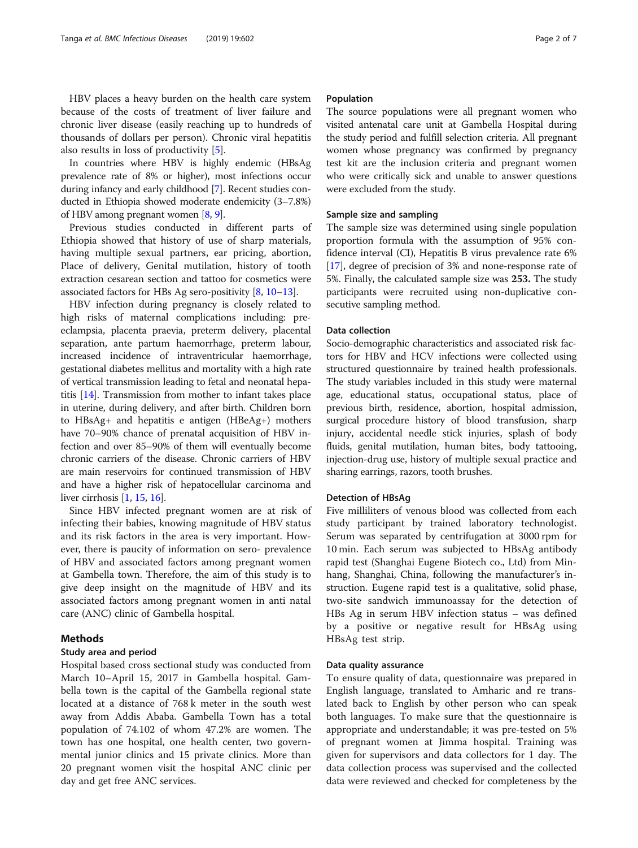In countries where HBV is highly endemic (HBsAg prevalence rate of 8% or higher), most infections occur during infancy and early childhood [\[7](#page-6-0)]. Recent studies conducted in Ethiopia showed moderate endemicity (3–7.8%) of HBV among pregnant women [\[8,](#page-6-0) [9](#page-6-0)].

Previous studies conducted in different parts of Ethiopia showed that history of use of sharp materials, having multiple sexual partners, ear pricing, abortion, Place of delivery, Genital mutilation, history of tooth extraction cesarean section and tattoo for cosmetics were associated factors for HBs Ag sero-positivity [[8,](#page-6-0) [10](#page-6-0)–[13](#page-6-0)].

HBV infection during pregnancy is closely related to high risks of maternal complications including: preeclampsia, placenta praevia, preterm delivery, placental separation, ante partum haemorrhage, preterm labour, increased incidence of intraventricular haemorrhage, gestational diabetes mellitus and mortality with a high rate of vertical transmission leading to fetal and neonatal hepatitis [[14](#page-6-0)]. Transmission from mother to infant takes place in uterine, during delivery, and after birth. Children born to HBsAg+ and hepatitis e antigen (HBeAg+) mothers have 70–90% chance of prenatal acquisition of HBV infection and over 85–90% of them will eventually become chronic carriers of the disease. Chronic carriers of HBV are main reservoirs for continued transmission of HBV and have a higher risk of hepatocellular carcinoma and liver cirrhosis [\[1](#page-6-0), [15](#page-6-0), [16\]](#page-6-0).

Since HBV infected pregnant women are at risk of infecting their babies, knowing magnitude of HBV status and its risk factors in the area is very important. However, there is paucity of information on sero- prevalence of HBV and associated factors among pregnant women at Gambella town. Therefore, the aim of this study is to give deep insight on the magnitude of HBV and its associated factors among pregnant women in anti natal care (ANC) clinic of Gambella hospital.

# Methods

## Study area and period

Hospital based cross sectional study was conducted from March 10–April 15, 2017 in Gambella hospital. Gambella town is the capital of the Gambella regional state located at a distance of 768 k meter in the south west away from Addis Ababa. Gambella Town has a total population of 74.102 of whom 47.2% are women. The town has one hospital, one health center, two governmental junior clinics and 15 private clinics. More than 20 pregnant women visit the hospital ANC clinic per day and get free ANC services.

### Population

The source populations were all pregnant women who visited antenatal care unit at Gambella Hospital during the study period and fulfill selection criteria. All pregnant women whose pregnancy was confirmed by pregnancy test kit are the inclusion criteria and pregnant women who were critically sick and unable to answer questions were excluded from the study.

# Sample size and sampling

The sample size was determined using single population proportion formula with the assumption of 95% confidence interval (CI), Hepatitis B virus prevalence rate 6% [[17](#page-6-0)], degree of precision of 3% and none-response rate of 5%. Finally, the calculated sample size was 253. The study participants were recruited using non-duplicative consecutive sampling method.

#### Data collection

Socio-demographic characteristics and associated risk factors for HBV and HCV infections were collected using structured questionnaire by trained health professionals. The study variables included in this study were maternal age, educational status, occupational status, place of previous birth, residence, abortion, hospital admission, surgical procedure history of blood transfusion, sharp injury, accidental needle stick injuries, splash of body fluids, genital mutilation, human bites, body tattooing, injection-drug use, history of multiple sexual practice and sharing earrings, razors, tooth brushes.

### Detection of HBsAg

Five milliliters of venous blood was collected from each study participant by trained laboratory technologist. Serum was separated by centrifugation at 3000 rpm for 10 min. Each serum was subjected to HBsAg antibody rapid test (Shanghai Eugene Biotech co., Ltd) from Minhang, Shanghai, China, following the manufacturer's instruction. Eugene rapid test is a qualitative, solid phase, two-site sandwich immunoassay for the detection of HBs Ag in serum HBV infection status – was defined by a positive or negative result for HBsAg using HBsAg test strip.

#### Data quality assurance

To ensure quality of data, questionnaire was prepared in English language, translated to Amharic and re translated back to English by other person who can speak both languages. To make sure that the questionnaire is appropriate and understandable; it was pre-tested on 5% of pregnant women at Jimma hospital. Training was given for supervisors and data collectors for 1 day. The data collection process was supervised and the collected data were reviewed and checked for completeness by the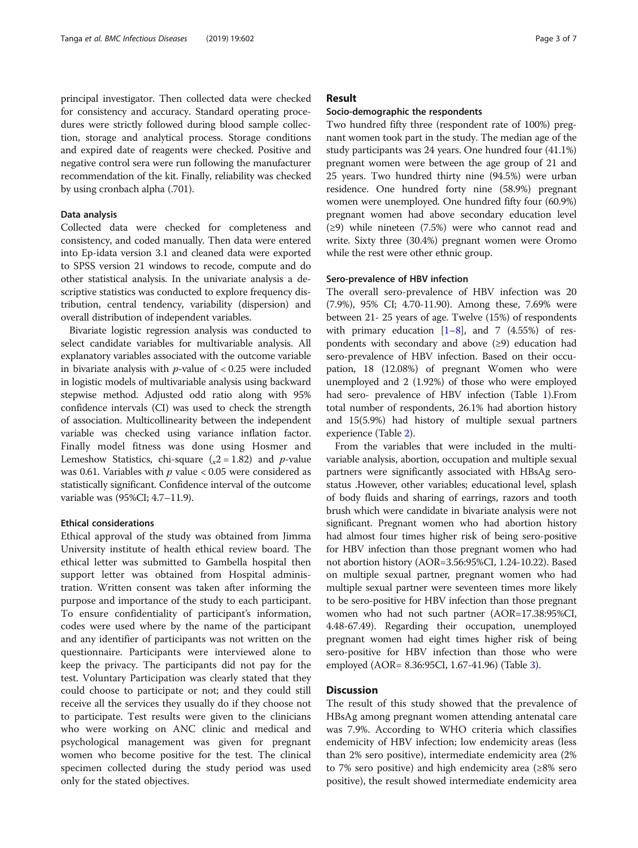principal investigator. Then collected data were checked for consistency and accuracy. Standard operating procedures were strictly followed during blood sample collection, storage and analytical process. Storage conditions and expired date of reagents were checked. Positive and negative control sera were run following the manufacturer recommendation of the kit. Finally, reliability was checked by using cronbach alpha (.701).

# Data analysis

Collected data were checked for completeness and consistency, and coded manually. Then data were entered into Ep-idata version 3.1 and cleaned data were exported to SPSS version 21 windows to recode, compute and do other statistical analysis. In the univariate analysis a descriptive statistics was conducted to explore frequency distribution, central tendency, variability (dispersion) and overall distribution of independent variables.

Bivariate logistic regression analysis was conducted to select candidate variables for multivariable analysis. All explanatory variables associated with the outcome variable in bivariate analysis with  $p$ -value of  $< 0.25$  were included in logistic models of multivariable analysis using backward stepwise method. Adjusted odd ratio along with 95% confidence intervals (CI) was used to check the strength of association. Multicollinearity between the independent variable was checked using variance inflation factor. Finally model fitness was done using Hosmer and Lemeshow Statistics, chi-square  $(x^2 = 1.82)$  and p-value was 0.61. Variables with  $p$  value < 0.05 were considered as statistically significant. Confidence interval of the outcome variable was (95%CI; 4.7–11.9).

#### Ethical considerations

Ethical approval of the study was obtained from Jimma University institute of health ethical review board. The ethical letter was submitted to Gambella hospital then support letter was obtained from Hospital administration. Written consent was taken after informing the purpose and importance of the study to each participant. To ensure confidentiality of participant's information, codes were used where by the name of the participant and any identifier of participants was not written on the questionnaire. Participants were interviewed alone to keep the privacy. The participants did not pay for the test. Voluntary Participation was clearly stated that they could choose to participate or not; and they could still receive all the services they usually do if they choose not to participate. Test results were given to the clinicians who were working on ANC clinic and medical and psychological management was given for pregnant women who become positive for the test. The clinical specimen collected during the study period was used only for the stated objectives.

# Result

#### Socio-demographic the respondents

Two hundred fifty three (respondent rate of 100%) pregnant women took part in the study. The median age of the study participants was 24 years. One hundred four (41.1%) pregnant women were between the age group of 21 and 25 years. Two hundred thirty nine (94.5%) were urban residence. One hundred forty nine (58.9%) pregnant women were unemployed. One hundred fifty four (60.9%) pregnant women had above secondary education level (≥9) while nineteen (7.5%) were who cannot read and write. Sixty three (30.4%) pregnant women were Oromo while the rest were other ethnic group.

#### Sero-prevalence of HBV infection

The overall sero-prevalence of HBV infection was 20 (7.9%), 95% CI; 4.70-11.90). Among these, 7.69% were between 21- 25 years of age. Twelve (15%) of respondents with primary education  $[1-8]$  $[1-8]$  $[1-8]$  $[1-8]$  $[1-8]$ , and 7 (4.55%) of respondents with secondary and above (≥9) education had sero-prevalence of HBV infection. Based on their occupation, 18 (12.08%) of pregnant Women who were unemployed and 2 (1.92%) of those who were employed had sero- prevalence of HBV infection (Table [1\)](#page-3-0).From total number of respondents, 26.1% had abortion history and 15(5.9%) had history of multiple sexual partners experience (Table [2](#page-4-0)).

From the variables that were included in the multivariable analysis, abortion, occupation and multiple sexual partners were significantly associated with HBsAg serostatus .However, other variables; educational level, splash of body fluids and sharing of earrings, razors and tooth brush which were candidate in bivariate analysis were not significant. Pregnant women who had abortion history had almost four times higher risk of being sero-positive for HBV infection than those pregnant women who had not abortion history (AOR=3.56:95%CI, 1.24-10.22). Based on multiple sexual partner, pregnant women who had multiple sexual partner were seventeen times more likely to be sero-positive for HBV infection than those pregnant women who had not such partner (AOR=17.38:95%CI, 4.48-67.49). Regarding their occupation, unemployed pregnant women had eight times higher risk of being sero-positive for HBV infection than those who were employed (AOR= 8.36:95CI, 1.67-41.96) (Table [3\)](#page-4-0).

# **Discussion**

The result of this study showed that the prevalence of HBsAg among pregnant women attending antenatal care was 7.9%. According to WHO criteria which classifies endemicity of HBV infection; low endemicity areas (less than 2% sero positive), intermediate endemicity area (2% to 7% sero positive) and high endemicity area (≥8% sero positive), the result showed intermediate endemicity area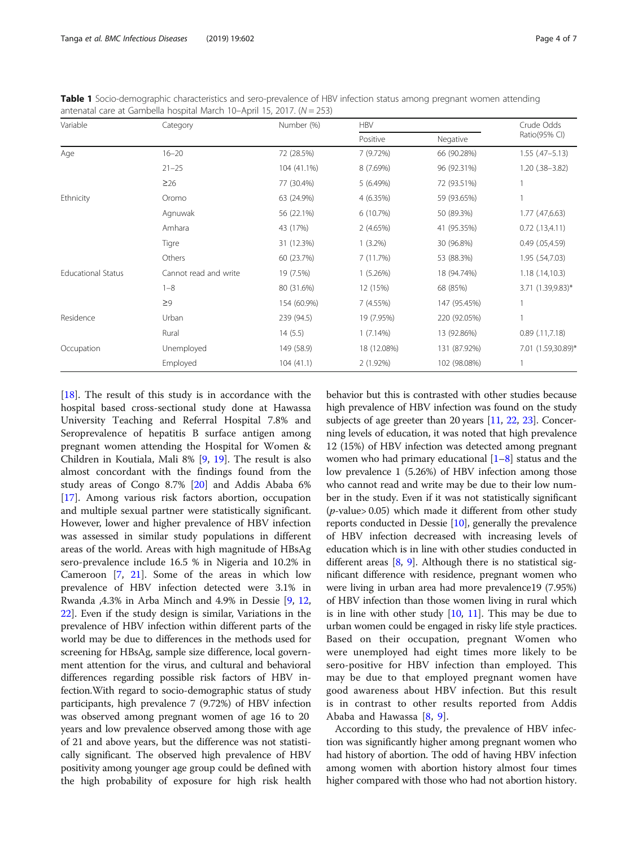| Variable                  | Category              | Number (%)  | <b>HBV</b>  |              | Crude Odds           |
|---------------------------|-----------------------|-------------|-------------|--------------|----------------------|
|                           |                       |             | Positive    | Negative     | Ratio(95% CI)        |
| Age                       | $16 - 20$             | 72 (28.5%)  | 7 (9.72%)   | 66 (90.28%)  | $1.55$ $(.47-5.13)$  |
|                           | $21 - 25$             | 104 (41.1%) | 8 (7.69%)   | 96 (92.31%)  | $1.20$ $(.38-3.82)$  |
|                           | $\geq 26$             | 77 (30.4%)  | 5(6.49%)    | 72 (93.51%)  |                      |
| Ethnicity                 | Oromo                 | 63 (24.9%)  | 4 (6.35%)   | 59 (93.65%)  |                      |
|                           | Agnuwak               | 56 (22.1%)  | 6 (10.7%)   | 50 (89.3%)   | $1.77$ $(.47,6.63)$  |
|                           | Amhara                | 43 (17%)    | 2(4.65%)    | 41 (95.35%)  | $0.72$ (.13,4.11)    |
|                           | Tigre                 | 31 (12.3%)  | $1(3.2\%)$  | 30 (96.8%)   | $0.49$ $(.05, 4.59)$ |
|                           | Others                | 60 (23.7%)  | 7(11.7%)    | 53 (88.3%)   | 1.95 (.54,7.03)      |
| <b>Educational Status</b> | Cannot read and write | 19 (7.5%)   | $1(5.26\%)$ | 18 (94.74%)  | 1.18(.14,10.3)       |
|                           | $1 - 8$               | 80 (31.6%)  | 12 (15%)    | 68 (85%)     | 3.71 (1.39,9.83)*    |
|                           | $\geq$ 9              | 154 (60.9%) | 7 (4.55%)   | 147 (95.45%) |                      |

Occupation Unemployed 149 (58.9) 18 (12.08%) 131 (87.92%) 7.01 (1.59,30.89)\*

Rural 14 (5.5) 1 (7.14%) 13 (92.86%) 0.89 (.11,7.18)

Employed 104 (41.1) 2 (1.92%) 102 (98.08%) 1

Residence Urban 239 (94.5) 19 (7.95%) 220 (92.05%) 1

<span id="page-3-0"></span>Table 1 Socio-demographic characteristics and sero-prevalence of HBV infection status among pregnant women attending antenatal care at Gambella hospital March 10–April 15, 2017. (N = 253)

[[18\]](#page-6-0). The result of this study is in accordance with the hospital based cross-sectional study done at Hawassa University Teaching and Referral Hospital 7.8% and Seroprevalence of hepatitis B surface antigen among pregnant women attending the Hospital for Women & Children in Koutiala, Mali 8% [[9,](#page-6-0) [19](#page-6-0)]. The result is also almost concordant with the findings found from the study areas of Congo 8.7% [\[20](#page-6-0)] and Addis Ababa 6% [[17\]](#page-6-0). Among various risk factors abortion, occupation and multiple sexual partner were statistically significant. However, lower and higher prevalence of HBV infection was assessed in similar study populations in different areas of the world. Areas with high magnitude of HBsAg sero-prevalence include 16.5 % in Nigeria and 10.2% in Cameroon [[7,](#page-6-0) [21\]](#page-6-0). Some of the areas in which low prevalence of HBV infection detected were 3.1% in Rwanda ,4.3% in Arba Minch and 4.9% in Dessie [[9,](#page-6-0) [12](#page-6-0), [22\]](#page-6-0). Even if the study design is similar, Variations in the prevalence of HBV infection within different parts of the world may be due to differences in the methods used for screening for HBsAg, sample size difference, local government attention for the virus, and cultural and behavioral differences regarding possible risk factors of HBV infection.With regard to socio-demographic status of study participants, high prevalence 7 (9.72%) of HBV infection was observed among pregnant women of age 16 to 20 years and low prevalence observed among those with age of 21 and above years, but the difference was not statistically significant. The observed high prevalence of HBV positivity among younger age group could be defined with the high probability of exposure for high risk health behavior but this is contrasted with other studies because high prevalence of HBV infection was found on the study subjects of age greeter than 20 years [\[11,](#page-6-0) [22,](#page-6-0) [23\]](#page-6-0). Concerning levels of education, it was noted that high prevalence 12 (15%) of HBV infection was detected among pregnant women who had primary educational  $[1-8]$  $[1-8]$  $[1-8]$  $[1-8]$  $[1-8]$  status and the low prevalence 1 (5.26%) of HBV infection among those who cannot read and write may be due to their low number in the study. Even if it was not statistically significant  $(p$ -value> 0.05) which made it different from other study reports conducted in Dessie [[10](#page-6-0)], generally the prevalence of HBV infection decreased with increasing levels of education which is in line with other studies conducted in different areas [\[8](#page-6-0), [9\]](#page-6-0). Although there is no statistical significant difference with residence, pregnant women who were living in urban area had more prevalence19 (7.95%) of HBV infection than those women living in rural which is in line with other study  $[10, 11]$  $[10, 11]$  $[10, 11]$  $[10, 11]$ . This may be due to urban women could be engaged in risky life style practices. Based on their occupation, pregnant Women who were unemployed had eight times more likely to be sero-positive for HBV infection than employed. This may be due to that employed pregnant women have good awareness about HBV infection. But this result is in contrast to other results reported from Addis Ababa and Hawassa [\[8](#page-6-0), [9\]](#page-6-0).

According to this study, the prevalence of HBV infection was significantly higher among pregnant women who had history of abortion. The odd of having HBV infection among women with abortion history almost four times higher compared with those who had not abortion history.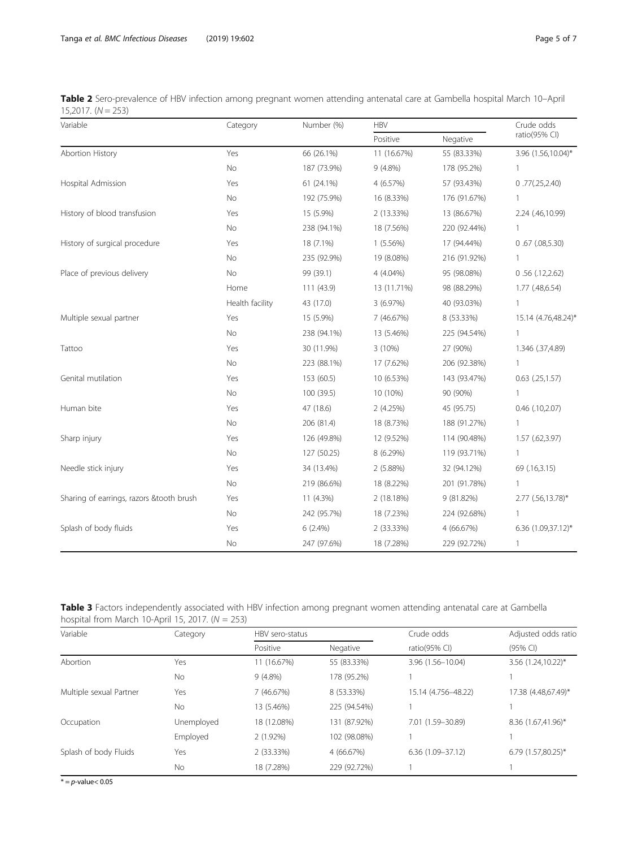<span id="page-4-0"></span>

| Table 2 Sero-prevalence of HBV infection among pregnant women attending antenatal care at Gambella hospital March 10-April |  |  |  |
|----------------------------------------------------------------------------------------------------------------------------|--|--|--|
| $15,2017. (N = 253)$                                                                                                       |  |  |  |

| Variable                                 | Category        | Number (%)  | <b>HBV</b>  |              | Crude odds          |
|------------------------------------------|-----------------|-------------|-------------|--------------|---------------------|
|                                          |                 |             | Positive    | Negative     | ratio(95% CI)       |
| Abortion History                         | Yes             | 66 (26.1%)  | 11 (16.67%) | 55 (83.33%)  | 3.96 (1.56,10.04)*  |
|                                          | No              | 187 (73.9%) | $9(4.8\%)$  | 178 (95.2%)  | $\mathbf{1}$        |
| Hospital Admission                       | Yes             | 61 (24.1%)  | 4 (6.57%)   | 57 (93.43%)  | 0.77(.25,2.40)      |
|                                          | <b>No</b>       | 192 (75.9%) | 16 (8.33%)  | 176 (91.67%) | 1                   |
| History of blood transfusion             | Yes             | 15 (5.9%)   | 2 (13.33%)  | 13 (86.67%)  | 2.24 (.46,10.99)    |
|                                          | No              | 238 (94.1%) | 18 (7.56%)  | 220 (92.44%) | $\mathbf{1}$        |
| History of surgical procedure            | Yes             | 18 (7.1%)   | $1(5.56\%)$ | 17 (94.44%)  | 0.67(0.08,5.30)     |
|                                          | No              | 235 (92.9%) | 19 (8.08%)  | 216 (91.92%) | $\mathbf{1}$        |
| Place of previous delivery               | No              | 99 (39.1)   | 4 (4.04%)   | 95 (98.08%)  | 0.56(.12,2.62)      |
|                                          | Home            | 111(43.9)   | 13 (11.71%) | 98 (88.29%)  | 1.77 (.48,6.54)     |
|                                          | Health facility | 43 (17.0)   | 3 (6.97%)   | 40 (93.03%)  | $\mathbf{1}$        |
| Multiple sexual partner                  | Yes             | 15 (5.9%)   | 7 (46.67%)  | 8 (53.33%)   | 15.14 (4.76,48.24)* |
|                                          | No              | 238 (94.1%) | 13 (5.46%)  | 225 (94.54%) | $\mathbf{1}$        |
| Tattoo                                   | Yes             | 30 (11.9%)  | 3 (10%)     | 27 (90%)     | 1.346 (.37,4.89)    |
|                                          | No              | 223 (88.1%) | 17 (7.62%)  | 206 (92.38%) | $\mathbf{1}$        |
| Genital mutilation                       | Yes             | 153 (60.5)  | 10 (6.53%)  | 143 (93.47%) | $0.63$ $(.25,1.57)$ |
|                                          | No              | 100 (39.5)  | 10 (10%)    | 90 (90%)     | $\mathbf{1}$        |
| Human bite                               | Yes             | 47 (18.6)   | 2(4.25%)    | 45 (95.75)   | $0.46$ $(.10,2.07)$ |
|                                          | No              | 206 (81.4)  | 18 (8.73%)  | 188 (91.27%) | 1                   |
| Sharp injury                             | Yes             | 126 (49.8%) | 12 (9.52%)  | 114 (90.48%) | $1.57$ (.62,3.97)   |
|                                          | No              | 127 (50.25) | 8 (6.29%)   | 119 (93.71%) | $\mathbf{1}$        |
| Needle stick injury                      | Yes             | 34 (13.4%)  | 2(5.88%)    | 32 (94.12%)  | 69 (.16,3.15)       |
|                                          | No              | 219 (86.6%) | 18 (8.22%)  | 201 (91.78%) | $\mathbf{1}$        |
| Sharing of earrings, razors &tooth brush | Yes             | 11 (4.3%)   | 2 (18.18%)  | 9 (81.82%)   | 2.77 (.56,13.78)*   |
|                                          | No              | 242 (95.7%) | 18 (7.23%)  | 224 (92.68%) | $\mathbf{1}$        |
| Splash of body fluids                    | Yes             | $6(2.4\%)$  | 2 (33.33%)  | 4 (66.67%)   | 6.36 (1.09,37.12)*  |
|                                          | No              | 247 (97.6%) | 18 (7.28%)  | 229 (92.72%) | 1                   |

| Table 3 Factors independently associated with HBV infection among pregnant women attending antenatal care at Gambella |  |  |  |
|-----------------------------------------------------------------------------------------------------------------------|--|--|--|
| hospital from March 10-April 15, 2017. $(N = 253)$                                                                    |  |  |  |

| Variable                | Category   | HBV sero-status |              |                      | Adjusted odds ratio  |
|-------------------------|------------|-----------------|--------------|----------------------|----------------------|
|                         |            | Positive        | Negative     | ratio( $95\%$ CI)    | (95% Cl)             |
| Abortion                | Yes        | 11 (16.67%)     | 55 (83.33%)  | 3.96 (1.56-10.04)    | 3.56 (1.24,10.22)*   |
|                         | <b>No</b>  | $9(4.8\%)$      | 178 (95.2%)  |                      |                      |
| Multiple sexual Partner | Yes        | 7 (46.67%)      | 8 (53.33%)   | 15.14 (4.756-48.22)  | 17.38 (4.48,67.49)*  |
|                         | <b>No</b>  | 13 (5.46%)      | 225 (94.54%) |                      |                      |
| Occupation              | Unemployed | 18 (12.08%)     | 131 (87.92%) | 7.01 (1.59-30.89)    | 8.36 (1.67,41.96)*   |
|                         | Employed   | $2(1.92\%)$     | 102 (98.08%) |                      |                      |
| Splash of body Fluids   | Yes        | $2(33.33\%)$    | 4 (66.67%)   | $6.36(1.09 - 37.12)$ | $6.79(1.57,80.25)^*$ |
|                         | No         | 18 (7.28%)      | 229 (92.72%) |                      |                      |

 $* = p$ -value $< 0.05$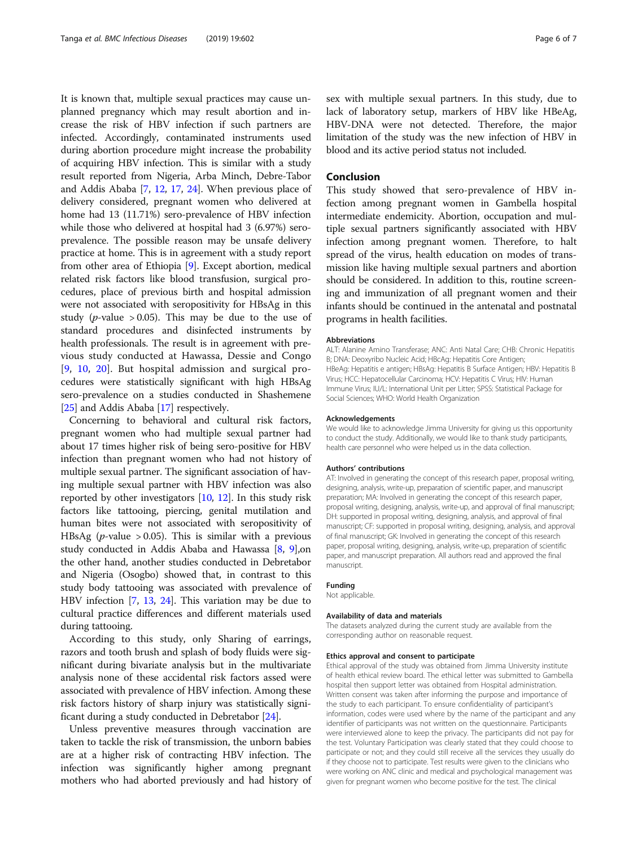It is known that, multiple sexual practices may cause unplanned pregnancy which may result abortion and increase the risk of HBV infection if such partners are infected. Accordingly, contaminated instruments used during abortion procedure might increase the probability of acquiring HBV infection. This is similar with a study result reported from Nigeria, Arba Minch, Debre-Tabor and Addis Ababa [[7,](#page-6-0) [12,](#page-6-0) [17](#page-6-0), [24](#page-6-0)]. When previous place of delivery considered, pregnant women who delivered at home had 13 (11.71%) sero-prevalence of HBV infection while those who delivered at hospital had 3 (6.97%) seroprevalence. The possible reason may be unsafe delivery practice at home. This is in agreement with a study report from other area of Ethiopia [[9\]](#page-6-0). Except abortion, medical related risk factors like blood transfusion, surgical procedures, place of previous birth and hospital admission were not associated with seropositivity for HBsAg in this study (*p*-value > 0.05). This may be due to the use of standard procedures and disinfected instruments by health professionals. The result is in agreement with previous study conducted at Hawassa, Dessie and Congo [[9,](#page-6-0) [10](#page-6-0), [20\]](#page-6-0). But hospital admission and surgical procedures were statistically significant with high HBsAg sero-prevalence on a studies conducted in Shashemene [[25](#page-6-0)] and Addis Ababa [[17](#page-6-0)] respectively.

Concerning to behavioral and cultural risk factors, pregnant women who had multiple sexual partner had about 17 times higher risk of being sero-positive for HBV infection than pregnant women who had not history of multiple sexual partner. The significant association of having multiple sexual partner with HBV infection was also reported by other investigators  $[10, 12]$  $[10, 12]$  $[10, 12]$ . In this study risk factors like tattooing, piercing, genital mutilation and human bites were not associated with seropositivity of HBsAg (*p*-value  $> 0.05$ ). This is similar with a previous study conducted in Addis Ababa and Hawassa [\[8,](#page-6-0) [9\]](#page-6-0),on the other hand, another studies conducted in Debretabor and Nigeria (Osogbo) showed that, in contrast to this study body tattooing was associated with prevalence of HBV infection [\[7,](#page-6-0) [13,](#page-6-0) [24](#page-6-0)]. This variation may be due to cultural practice differences and different materials used during tattooing.

According to this study, only Sharing of earrings, razors and tooth brush and splash of body fluids were significant during bivariate analysis but in the multivariate analysis none of these accidental risk factors assed were associated with prevalence of HBV infection. Among these risk factors history of sharp injury was statistically significant during a study conducted in Debretabor [[24](#page-6-0)].

Unless preventive measures through vaccination are taken to tackle the risk of transmission, the unborn babies are at a higher risk of contracting HBV infection. The infection was significantly higher among pregnant mothers who had aborted previously and had history of sex with multiple sexual partners. In this study, due to lack of laboratory setup, markers of HBV like HBeAg, HBV-DNA were not detected. Therefore, the major limitation of the study was the new infection of HBV in blood and its active period status not included.

#### Conclusion

This study showed that sero-prevalence of HBV infection among pregnant women in Gambella hospital intermediate endemicity. Abortion, occupation and multiple sexual partners significantly associated with HBV infection among pregnant women. Therefore, to halt spread of the virus, health education on modes of transmission like having multiple sexual partners and abortion should be considered. In addition to this, routine screening and immunization of all pregnant women and their infants should be continued in the antenatal and postnatal programs in health facilities.

#### Abbreviations

ALT: Alanine Amino Transferase; ANC: Anti Natal Care; CHB: Chronic Hepatitis B; DNA: Deoxyribo Nucleic Acid; HBcAg: Hepatitis Core Antigen; HBeAg: Hepatitis e antigen; HBsAg: Hepatitis B Surface Antigen; HBV: Hepatitis B Virus; HCC: Hepatocellular Carcinoma; HCV: Hepatitis C Virus; HIV: Human Immune Virus; IU/L: International Unit per Litter; SPSS: Statistical Package for Social Sciences; WHO: World Health Organization

#### Acknowledgements

We would like to acknowledge Jimma University for giving us this opportunity to conduct the study. Additionally, we would like to thank study participants, health care personnel who were helped us in the data collection.

#### Authors' contributions

AT: Involved in generating the concept of this research paper, proposal writing, designing, analysis, write-up, preparation of scientific paper, and manuscript preparation; MA: Involved in generating the concept of this research paper, proposal writing, designing, analysis, write-up, and approval of final manuscript; DH: supported in proposal writing, designing, analysis, and approval of final manuscript; CF: supported in proposal writing, designing, analysis, and approval of final manuscript; GK: Involved in generating the concept of this research paper, proposal writing, designing, analysis, write-up, preparation of scientific paper, and manuscript preparation. All authors read and approved the final manuscript.

#### Funding

Not applicable.

#### Availability of data and materials

The datasets analyzed during the current study are available from the corresponding author on reasonable request.

#### Ethics approval and consent to participate

Ethical approval of the study was obtained from Jimma University institute of health ethical review board. The ethical letter was submitted to Gambella hospital then support letter was obtained from Hospital administration. Written consent was taken after informing the purpose and importance of the study to each participant. To ensure confidentiality of participant's information, codes were used where by the name of the participant and any identifier of participants was not written on the questionnaire. Participants were interviewed alone to keep the privacy. The participants did not pay for the test. Voluntary Participation was clearly stated that they could choose to participate or not; and they could still receive all the services they usually do if they choose not to participate. Test results were given to the clinicians who were working on ANC clinic and medical and psychological management was given for pregnant women who become positive for the test. The clinical